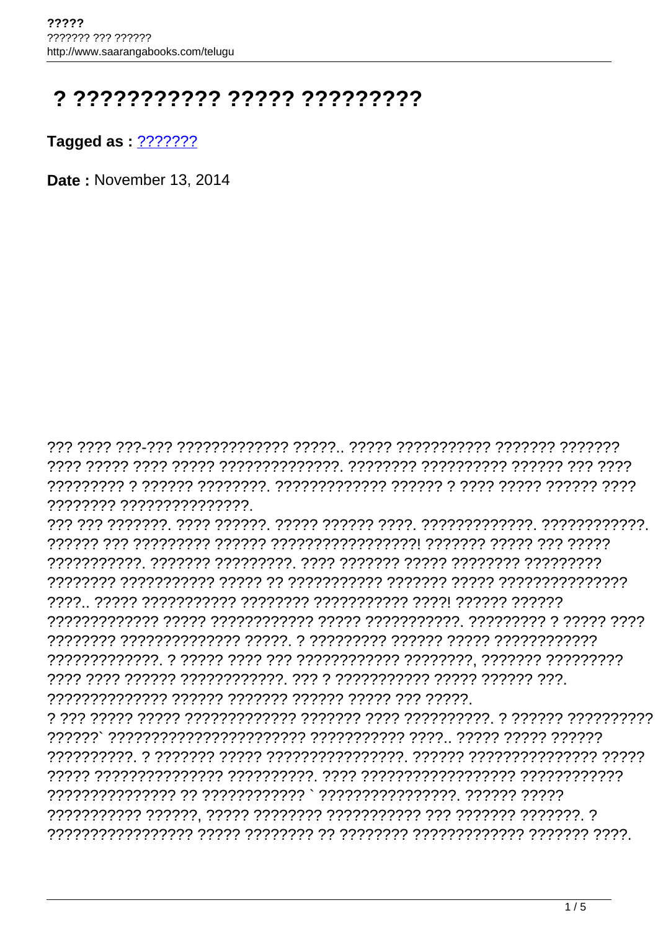## ? ??????????? ????? ?????????

**Tagged as: ????????** 

Date: November 13, 2014

<u>ַ רְיִרְיָ רְיִרְיִרְיָרָ רְיִרְיִרְיְרְיִרְיִרְיִרְיִךְ רְיִרְיִרְיֹךָ הְיָרְיֹךָ יְרִיְרִיךְ הְיָרֹוֹלְיִרְי</u>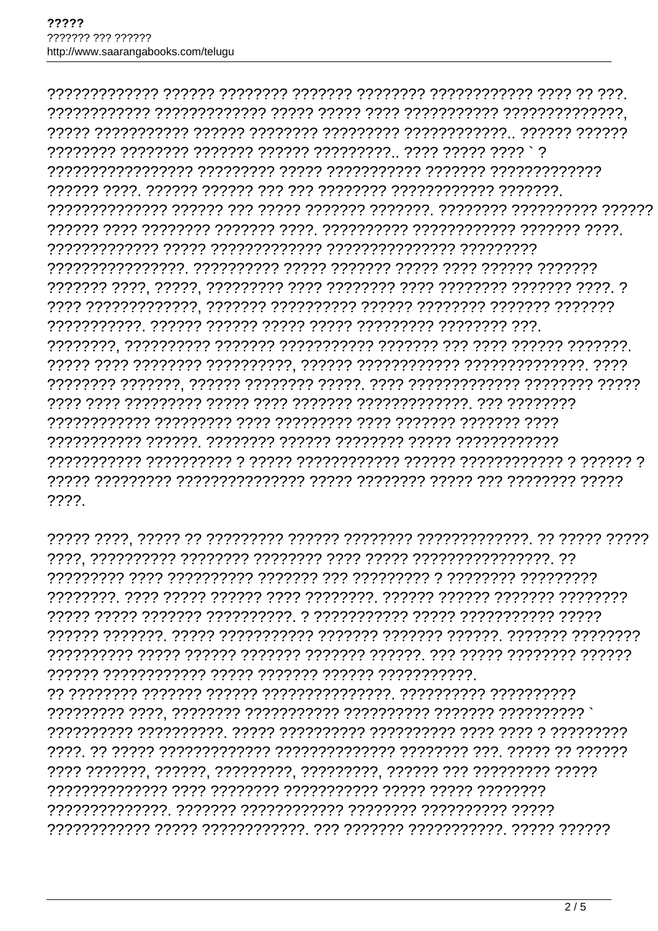????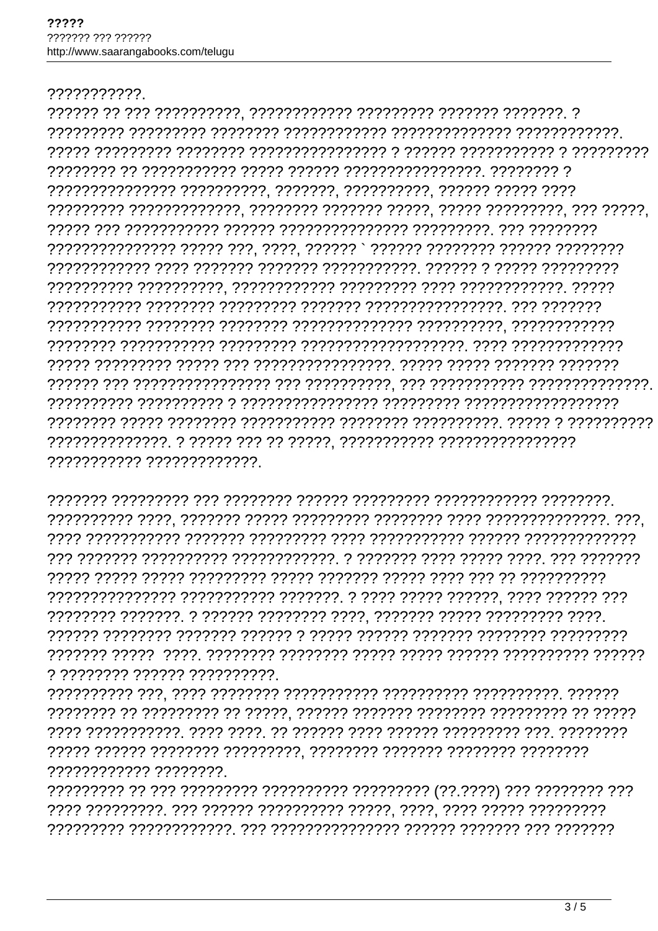## 77777777777

??????????? ?????????????

יוריוויוין ווי ניו ויו ויון ויווין ויוויון ויווין ויוויוויון ויווין ויווין ויווין ויווין ? ???????? ?????? ??????????

777777777777 77777777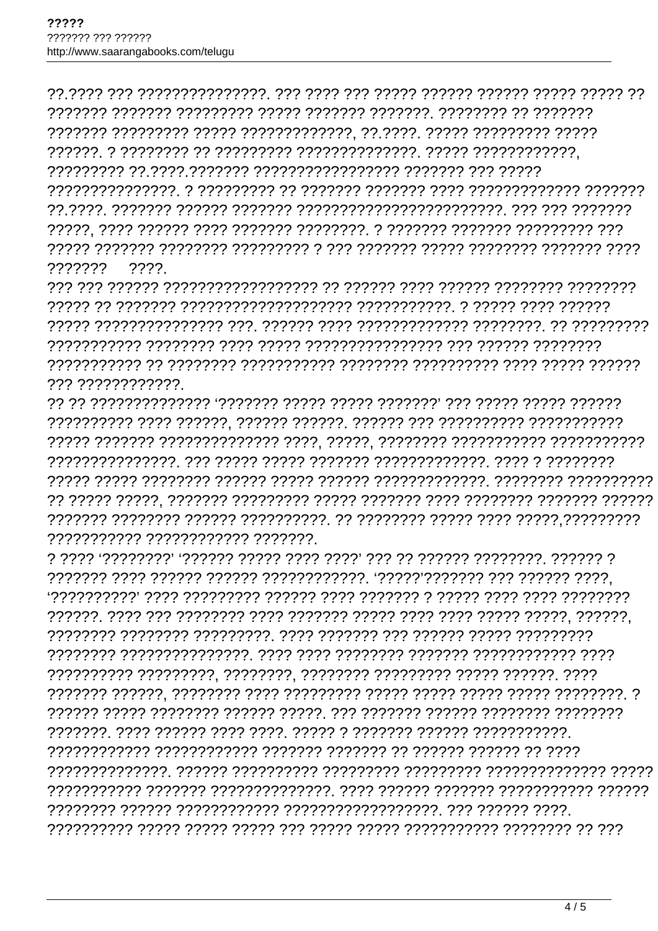2222222 2222

777 777777777777

77777777777 777777777777 7777777